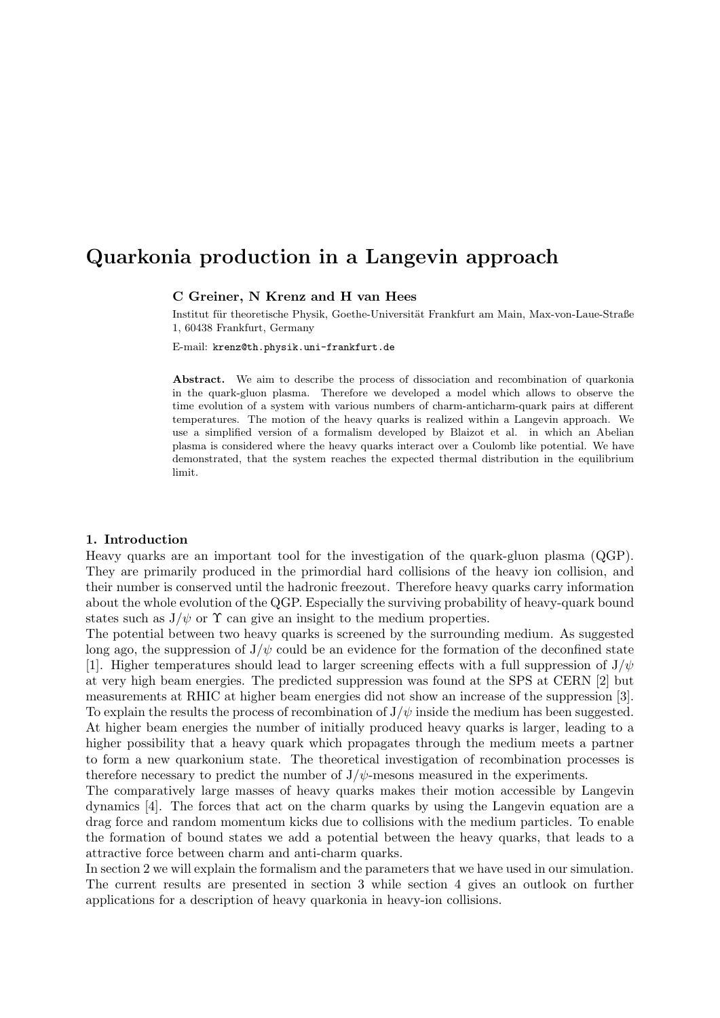# Quarkonia production in a Langevin approach

# C Greiner, N Krenz and H van Hees

Institut für theoretische Physik, Goethe-Universität Frankfurt am Main, Max-von-Laue-Straße 1, 60438 Frankfurt, Germany

E-mail: krenz@th.physik.uni-frankfurt.de

Abstract. We aim to describe the process of dissociation and recombination of quarkonia in the quark-gluon plasma. Therefore we developed a model which allows to observe the time evolution of a system with various numbers of charm-anticharm-quark pairs at different temperatures. The motion of the heavy quarks is realized within a Langevin approach. We use a simplified version of a formalism developed by Blaizot et al. in which an Abelian plasma is considered where the heavy quarks interact over a Coulomb like potential. We have demonstrated, that the system reaches the expected thermal distribution in the equilibrium limit.

## 1. Introduction

Heavy quarks are an important tool for the investigation of the quark-gluon plasma (QGP). They are primarily produced in the primordial hard collisions of the heavy ion collision, and their number is conserved until the hadronic freezout. Therefore heavy quarks carry information about the whole evolution of the QGP. Especially the surviving probability of heavy-quark bound states such as  $J/\psi$  or  $\Upsilon$  can give an insight to the medium properties.

The potential between two heavy quarks is screened by the surrounding medium. As suggested long ago, the suppression of  $J/\psi$  could be an evidence for the formation of the deconfined state [1]. Higher temperatures should lead to larger screening effects with a full suppression of  $J/\psi$ at very high beam energies. The predicted suppression was found at the SPS at CERN [2] but measurements at RHIC at higher beam energies did not show an increase of the suppression [3]. To explain the results the process of recombination of  $J/\psi$  inside the medium has been suggested. At higher beam energies the number of initially produced heavy quarks is larger, leading to a higher possibility that a heavy quark which propagates through the medium meets a partner to form a new quarkonium state. The theoretical investigation of recombination processes is therefore necessary to predict the number of  $J/\psi$ -mesons measured in the experiments.

The comparatively large masses of heavy quarks makes their motion accessible by Langevin dynamics [4]. The forces that act on the charm quarks by using the Langevin equation are a drag force and random momentum kicks due to collisions with the medium particles. To enable the formation of bound states we add a potential between the heavy quarks, that leads to a attractive force between charm and anti-charm quarks.

In section 2 we will explain the formalism and the parameters that we have used in our simulation. The current results are presented in section 3 while section 4 gives an outlook on further applications for a description of heavy quarkonia in heavy-ion collisions.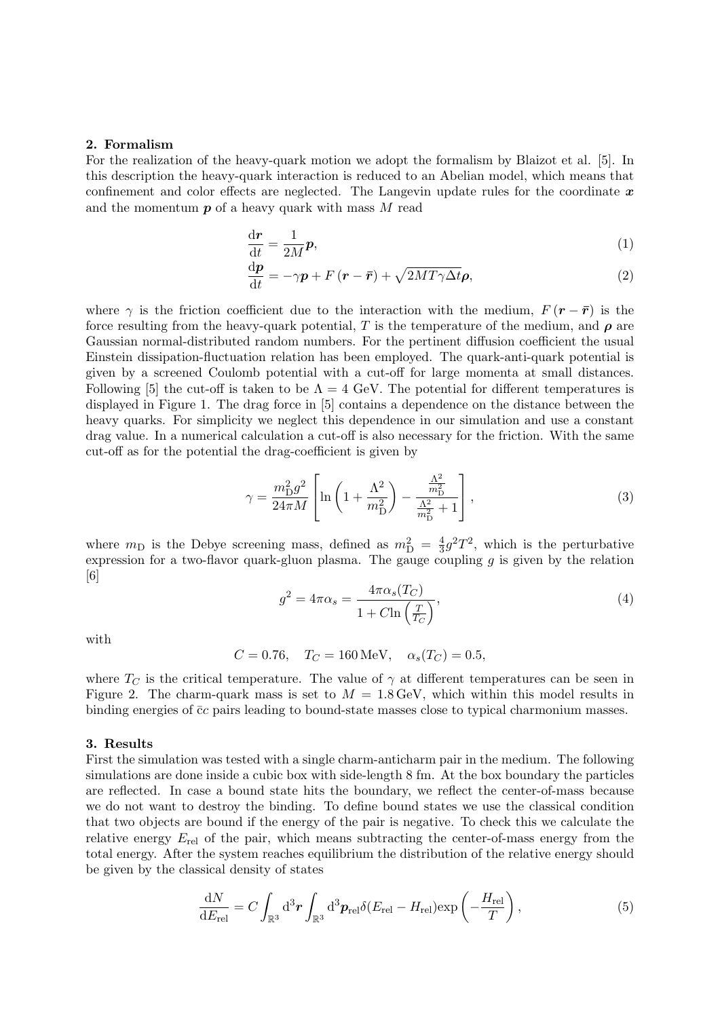#### 2. Formalism

For the realization of the heavy-quark motion we adopt the formalism by Blaizot et al. [5]. In this description the heavy-quark interaction is reduced to an Abelian model, which means that confinement and color effects are neglected. The Langevin update rules for the coordinate  $x$ and the momentum  $p$  of a heavy quark with mass  $M$  read

$$
\frac{\mathrm{d} \mathbf{r}}{\mathrm{d} t} = \frac{1}{2M} \mathbf{p},\tag{1}
$$

$$
\frac{\mathrm{d}\boldsymbol{p}}{\mathrm{d}t} = -\gamma \boldsymbol{p} + F(\boldsymbol{r} - \bar{\boldsymbol{r}}) + \sqrt{2MT\gamma \Delta t} \boldsymbol{\rho},\tag{2}
$$

where  $\gamma$  is the friction coefficient due to the interaction with the medium,  $F(r - \bar{r})$  is the force resulting from the heavy-quark potential, T is the temperature of the medium, and  $\rho$  are Gaussian normal-distributed random numbers. For the pertinent diffusion coefficient the usual Einstein dissipation-fluctuation relation has been employed. The quark-anti-quark potential is given by a screened Coulomb potential with a cut-off for large momenta at small distances. Following [5] the cut-off is taken to be  $\Lambda = 4$  GeV. The potential for different temperatures is displayed in Figure 1. The drag force in [5] contains a dependence on the distance between the heavy quarks. For simplicity we neglect this dependence in our simulation and use a constant drag value. In a numerical calculation a cut-off is also necessary for the friction. With the same cut-off as for the potential the drag-coefficient is given by

$$
\gamma = \frac{m_{\rm D}^2 g^2}{24\pi M} \left[ \ln \left( 1 + \frac{\Lambda^2}{m_{\rm D}^2} \right) - \frac{\frac{\Lambda^2}{m_{\rm D}^2}}{\frac{\Lambda^2}{m_{\rm D}^2} + 1} \right],\tag{3}
$$

where  $m_{\rm D}$  is the Debye screening mass, defined as  $m_{\rm D}^2 = \frac{4}{3}$  $\frac{4}{3}g^2T^2$ , which is the perturbative expression for a two-flavor quark-gluon plasma. The gauge coupling  $q$  is given by the relation [6]

$$
g^2 = 4\pi\alpha_s = \frac{4\pi\alpha_s(T_C)}{1 + C\ln\left(\frac{T}{T_C}\right)},\tag{4}
$$

with

$$
C = 0.76
$$
,  $T_C = 160 \text{ MeV}$ ,  $\alpha_s(T_C) = 0.5$ ,

where  $T_C$  is the critical temperature. The value of  $\gamma$  at different temperatures can be seen in Figure 2. The charm-quark mass is set to  $M = 1.8 \,\text{GeV}$ , which within this model results in binding energies of  $\bar{c}c$  pairs leading to bound-state masses close to typical charmonium masses.

## 3. Results

First the simulation was tested with a single charm-anticharm pair in the medium. The following simulations are done inside a cubic box with side-length 8 fm. At the box boundary the particles are reflected. In case a bound state hits the boundary, we reflect the center-of-mass because we do not want to destroy the binding. To define bound states we use the classical condition that two objects are bound if the energy of the pair is negative. To check this we calculate the relative energy  $E_{rel}$  of the pair, which means subtracting the center-of-mass energy from the total energy. After the system reaches equilibrium the distribution of the relative energy should be given by the classical density of states

$$
\frac{\mathrm{d}N}{\mathrm{d}E_{\rm rel}} = C \int_{\mathbb{R}^3} \mathrm{d}^3 \boldsymbol{r} \int_{\mathbb{R}^3} \mathrm{d}^3 \boldsymbol{p}_{\rm rel} \delta(E_{\rm rel} - H_{\rm rel}) \exp\left(-\frac{H_{\rm rel}}{T}\right),\tag{5}
$$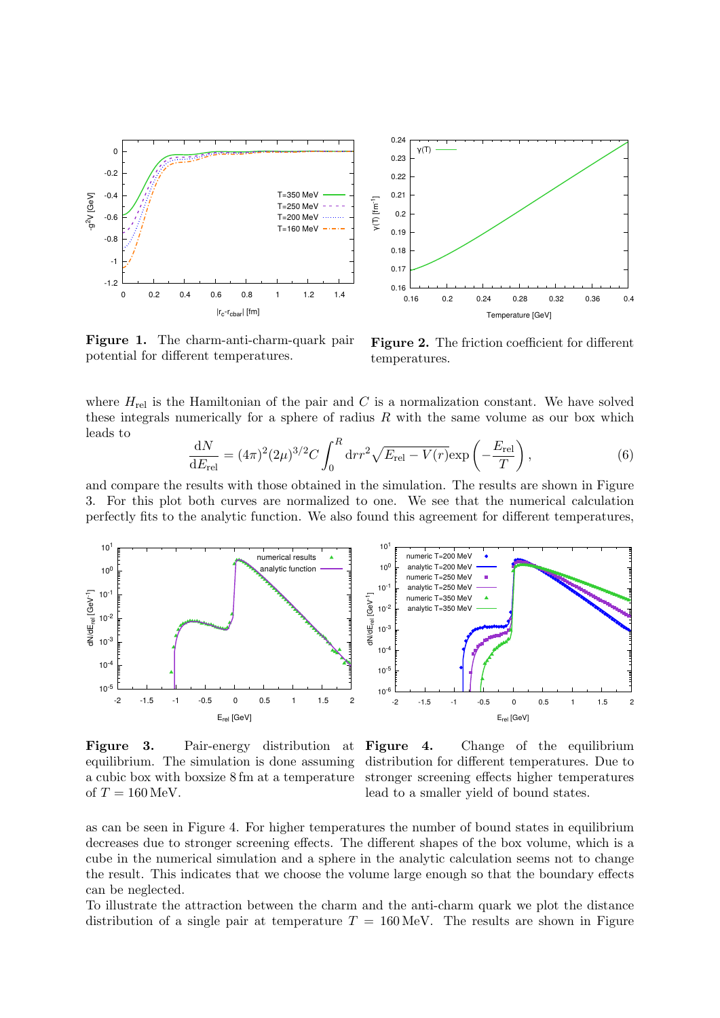

Figure 1. The charm-anti-charm-quark pair potential for different temperatures.

Figure 2. The friction coefficient for different temperatures.

where  $H_{rel}$  is the Hamiltonian of the pair and C is a normalization constant. We have solved these integrals numerically for a sphere of radius  $R$  with the same volume as our box which leads to

$$
\frac{dN}{dE_{\rm rel}} = (4\pi)^2 (2\mu)^{3/2} C \int_0^R dr r^2 \sqrt{E_{\rm rel} - V(r)} \exp\left(-\frac{E_{\rm rel}}{T}\right),\tag{6}
$$

and compare the results with those obtained in the simulation. The results are shown in Figure 3. For this plot both curves are normalized to one. We see that the numerical calculation perfectly fits to the analytic function. We also found this agreement for different temperatures,



Figure 3. Pair-energy distribution at equilibrium. The simulation is done assuming a cubic box with boxsize 8 fm at a temperature of  $T = 160$  MeV.

Figure 4. Change of the equilibrium distribution for different temperatures. Due to stronger screening effects higher temperatures lead to a smaller yield of bound states.

as can be seen in Figure 4. For higher temperatures the number of bound states in equilibrium decreases due to stronger screening effects. The different shapes of the box volume, which is a cube in the numerical simulation and a sphere in the analytic calculation seems not to change the result. This indicates that we choose the volume large enough so that the boundary effects can be neglected.

To illustrate the attraction between the charm and the anti-charm quark we plot the distance distribution of a single pair at temperature  $T = 160 \,\text{MeV}$ . The results are shown in Figure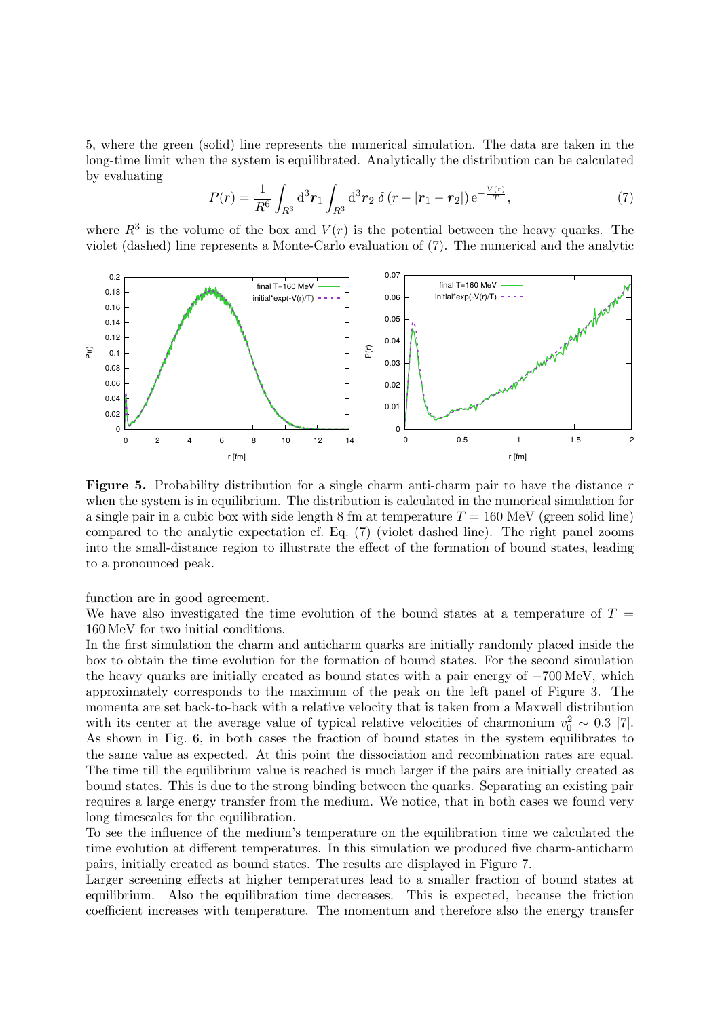5, where the green (solid) line represents the numerical simulation. The data are taken in the long-time limit when the system is equilibrated. Analytically the distribution can be calculated by evaluating

$$
P(r) = \frac{1}{R^6} \int_{R^3} d^3 r_1 \int_{R^3} d^3 r_2 \, \delta(r - |r_1 - r_2|) e^{-\frac{V(r)}{T}}, \tag{7}
$$

where  $R^3$  is the volume of the box and  $V(r)$  is the potential between the heavy quarks. The violet (dashed) line represents a Monte-Carlo evaluation of (7). The numerical and the analytic



**Figure 5.** Probability distribution for a single charm anti-charm pair to have the distance  $r$ when the system is in equilibrium. The distribution is calculated in the numerical simulation for a single pair in a cubic box with side length 8 fm at temperature  $T = 160$  MeV (green solid line) compared to the analytic expectation cf. Eq. (7) (violet dashed line). The right panel zooms into the small-distance region to illustrate the effect of the formation of bound states, leading to a pronounced peak.

function are in good agreement.

We have also investigated the time evolution of the bound states at a temperature of  $T =$ 160 MeV for two initial conditions.

In the first simulation the charm and anticharm quarks are initially randomly placed inside the box to obtain the time evolution for the formation of bound states. For the second simulation the heavy quarks are initially created as bound states with a pair energy of −700 MeV, which approximately corresponds to the maximum of the peak on the left panel of Figure 3. The momenta are set back-to-back with a relative velocity that is taken from a Maxwell distribution with its center at the average value of typical relative velocities of charmonium  $v_0^2 \sim 0.3$  [7]. As shown in Fig. 6, in both cases the fraction of bound states in the system equilibrates to the same value as expected. At this point the dissociation and recombination rates are equal. The time till the equilibrium value is reached is much larger if the pairs are initially created as bound states. This is due to the strong binding between the quarks. Separating an existing pair requires a large energy transfer from the medium. We notice, that in both cases we found very long timescales for the equilibration.

To see the influence of the medium's temperature on the equilibration time we calculated the time evolution at different temperatures. In this simulation we produced five charm-anticharm pairs, initially created as bound states. The results are displayed in Figure 7.

Larger screening effects at higher temperatures lead to a smaller fraction of bound states at equilibrium. Also the equilibration time decreases. This is expected, because the friction coefficient increases with temperature. The momentum and therefore also the energy transfer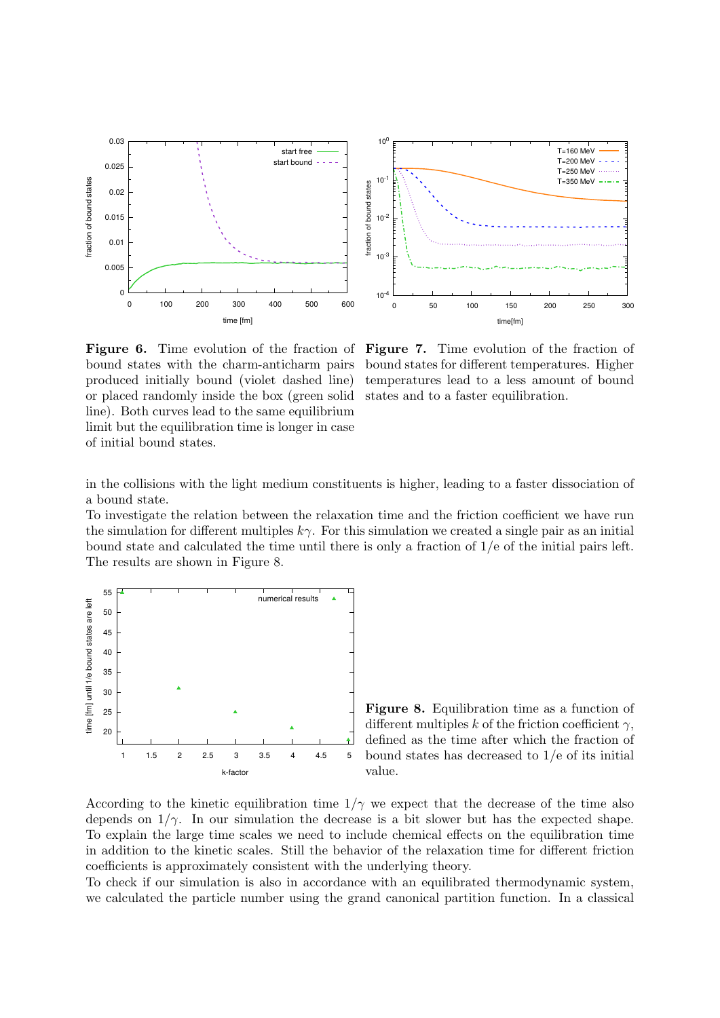

Figure 6. Time evolution of the fraction of bound states with the charm-anticharm pairs produced initially bound (violet dashed line) or placed randomly inside the box (green solid line). Both curves lead to the same equilibrium limit but the equilibration time is longer in case of initial bound states.

Figure 7. Time evolution of the fraction of bound states for different temperatures. Higher temperatures lead to a less amount of bound states and to a faster equilibration.

in the collisions with the light medium constituents is higher, leading to a faster dissociation of a bound state.

To investigate the relation between the relaxation time and the friction coefficient we have run the simulation for different multiples  $k\gamma$ . For this simulation we created a single pair as an initial bound state and calculated the time until there is only a fraction of 1/e of the initial pairs left. The results are shown in Figure 8.



Figure 8. Equilibration time as a function of different multiples k of the friction coefficient  $\gamma$ , defined as the time after which the fraction of bound states has decreased to 1/e of its initial value.

According to the kinetic equilibration time  $1/\gamma$  we expect that the decrease of the time also depends on  $1/\gamma$ . In our simulation the decrease is a bit slower but has the expected shape. To explain the large time scales we need to include chemical effects on the equilibration time in addition to the kinetic scales. Still the behavior of the relaxation time for different friction coefficients is approximately consistent with the underlying theory.

To check if our simulation is also in accordance with an equilibrated thermodynamic system, we calculated the particle number using the grand canonical partition function. In a classical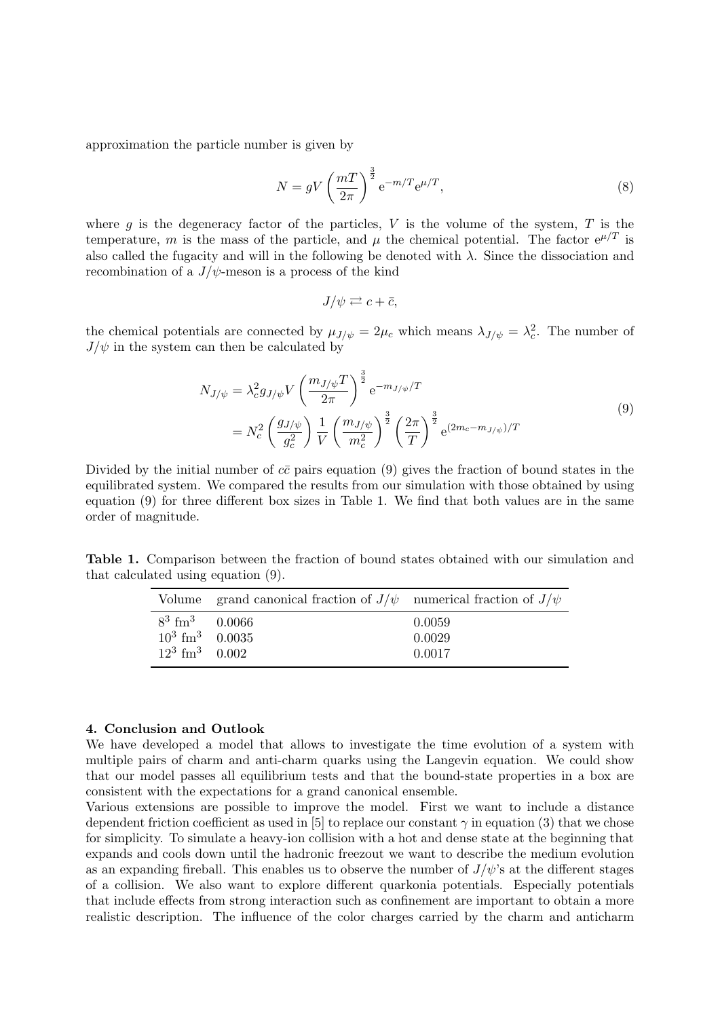approximation the particle number is given by

$$
N = gV \left(\frac{m}{2\pi}\right)^{\frac{3}{2}} e^{-m/T} e^{\mu/T},\tag{8}
$$

where  $g$  is the degeneracy factor of the particles,  $V$  is the volume of the system,  $T$  is the temperature, m is the mass of the particle, and  $\mu$  the chemical potential. The factor  $e^{\mu/T}$  is also called the fugacity and will in the following be denoted with  $\lambda$ . Since the dissociation and recombination of a  $J/\psi$ -meson is a process of the kind

$$
J/\psi \rightleftarrows c + \bar{c},
$$

the chemical potentials are connected by  $\mu_{J/\psi} = 2\mu_c$  which means  $\lambda_{J/\psi} = \lambda_c^2$ . The number of  $J/\psi$  in the system can then be calculated by

$$
N_{J/\psi} = \lambda_c^2 g_{J/\psi} V \left(\frac{m_{J/\psi} T}{2\pi}\right)^{\frac{3}{2}} e^{-m_{J/\psi}/T}
$$
  
= 
$$
N_c^2 \left(\frac{g_{J/\psi}}{g_c^2}\right) \frac{1}{V} \left(\frac{m_{J/\psi}}{m_c^2}\right)^{\frac{3}{2}} \left(\frac{2\pi}{T}\right)^{\frac{3}{2}} e^{(2m_c - m_{J/\psi})/T}
$$
(9)

Divided by the initial number of  $c\bar{c}$  pairs equation (9) gives the fraction of bound states in the equilibrated system. We compared the results from our simulation with those obtained by using equation (9) for three different box sizes in Table 1. We find that both values are in the same order of magnitude.

Table 1. Comparison between the fraction of bound states obtained with our simulation and that calculated using equation (9).

|                               | Volume grand canonical fraction of $J/\psi$ numerical fraction of $J/\psi$ |        |
|-------------------------------|----------------------------------------------------------------------------|--------|
| $8^3 \text{ fm}^3$ 0.0066     |                                                                            | 0.0059 |
| $10^3$ fm <sup>3</sup> 0.0035 |                                                                            | 0.0029 |
| $12^3$ fm <sup>3</sup> 0.002  |                                                                            | 0.0017 |

#### 4. Conclusion and Outlook

We have developed a model that allows to investigate the time evolution of a system with multiple pairs of charm and anti-charm quarks using the Langevin equation. We could show that our model passes all equilibrium tests and that the bound-state properties in a box are consistent with the expectations for a grand canonical ensemble.

Various extensions are possible to improve the model. First we want to include a distance dependent friction coefficient as used in [5] to replace our constant  $\gamma$  in equation (3) that we chose for simplicity. To simulate a heavy-ion collision with a hot and dense state at the beginning that expands and cools down until the hadronic freezout we want to describe the medium evolution as an expanding fireball. This enables us to observe the number of  $J/\psi$ 's at the different stages of a collision. We also want to explore different quarkonia potentials. Especially potentials that include effects from strong interaction such as confinement are important to obtain a more realistic description. The influence of the color charges carried by the charm and anticharm